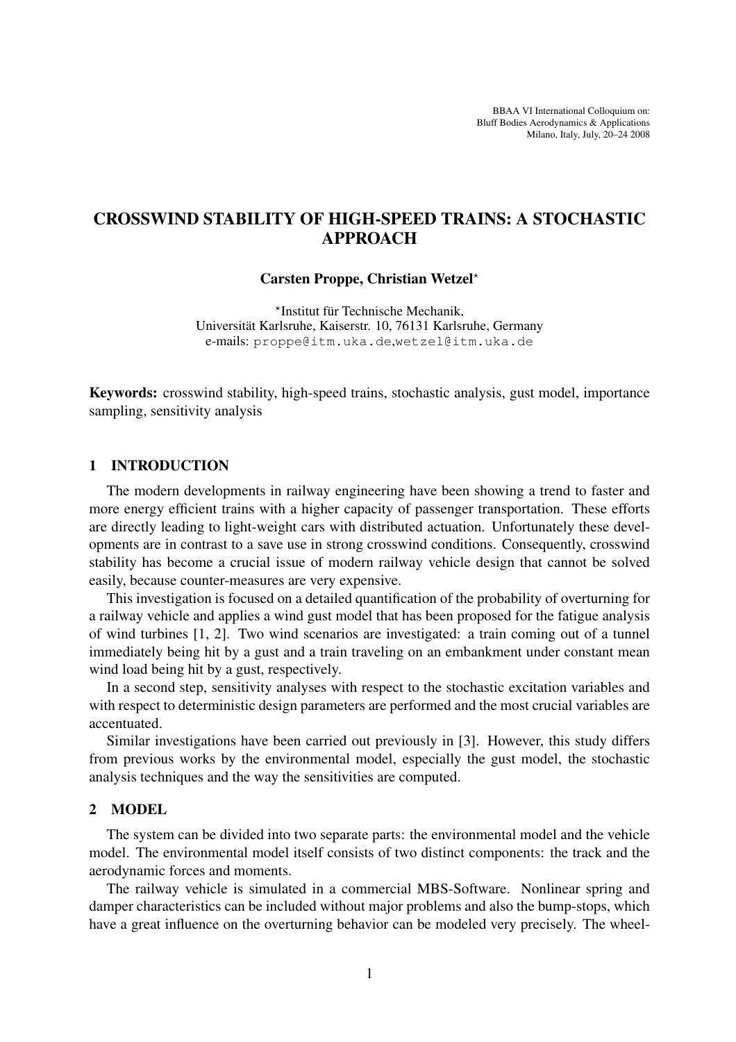BBAA VI International Colloquium on: Bluff Bodies Aerodynamics & Applications Milano, Italy, July, 20–24 2008

# CROSSWIND STABILITY OF HIGH-SPEED TRAINS: A STOCHASTIC APPROACH

#### Carsten Proppe, Christian Wetzel?

\*Institut für Technische Mechanik, Universitat Karlsruhe, Kaiserstr. 10, 76131 Karlsruhe, Germany ¨ e-mails: proppe@itm.uka.de,wetzel@itm.uka.de

Keywords: crosswind stability, high-speed trains, stochastic analysis, gust model, importance sampling, sensitivity analysis

### 1 INTRODUCTION

The modern developments in railway engineering have been showing a trend to faster and more energy efficient trains with a higher capacity of passenger transportation. These efforts are directly leading to light-weight cars with distributed actuation. Unfortunately these developments are in contrast to a save use in strong crosswind conditions. Consequently, crosswind stability has become a crucial issue of modern railway vehicle design that cannot be solved easily, because counter-measures are very expensive.

This investigation is focused on a detailed quantification of the probability of overturning for a railway vehicle and applies a wind gust model that has been proposed for the fatigue analysis of wind turbines [1, 2]. Two wind scenarios are investigated: a train coming out of a tunnel immediately being hit by a gust and a train traveling on an embankment under constant mean wind load being hit by a gust, respectively.

In a second step, sensitivity analyses with respect to the stochastic excitation variables and with respect to deterministic design parameters are performed and the most crucial variables are accentuated.

Similar investigations have been carried out previously in [3]. However, this study differs from previous works by the environmental model, especially the gust model, the stochastic analysis techniques and the way the sensitivities are computed.

### 2 MODEL

The system can be divided into two separate parts: the environmental model and the vehicle model. The environmental model itself consists of two distinct components: the track and the aerodynamic forces and moments.

The railway vehicle is simulated in a commercial MBS-Software. Nonlinear spring and damper characteristics can be included without major problems and also the bump-stops, which have a great influence on the overturning behavior can be modeled very precisely. The wheel-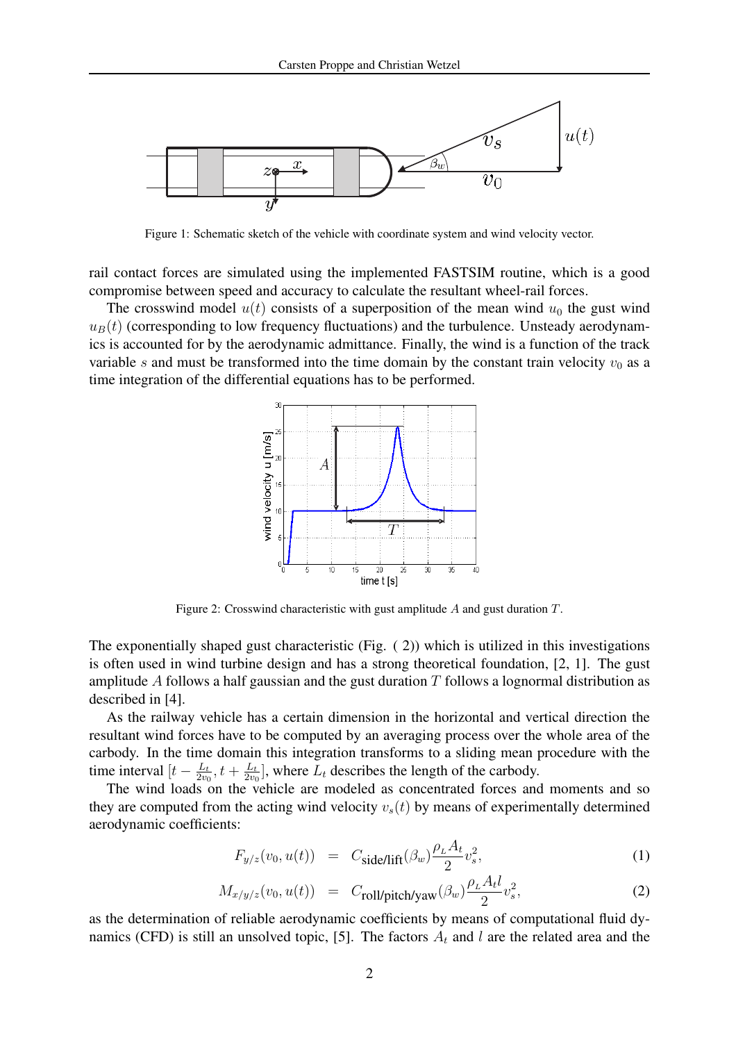

Figure 1: Schematic sketch of the vehicle with coordinate system and wind velocity vector.

rail contact forces are simulated using the implemented FASTSIM routine, which is a good compromise between speed and accuracy to calculate the resultant wheel-rail forces.

The crosswind model  $u(t)$  consists of a superposition of the mean wind  $u_0$  the gust wind  $u_B(t)$  (corresponding to low frequency fluctuations) and the turbulence. Unsteady aerodynamics is accounted for by the aerodynamic admittance. Finally, the wind is a function of the track variable s and must be transformed into the time domain by the constant train velocity  $v_0$  as a time integration of the differential equations has to be performed.



Figure 2: Crosswind characteristic with gust amplitude A and gust duration T.

The exponentially shaped gust characteristic (Fig.  $(2)$ ) which is utilized in this investigations is often used in wind turbine design and has a strong theoretical foundation, [2, 1]. The gust amplitude A follows a half gaussian and the gust duration  $T$  follows a lognormal distribution as described in [4].

As the railway vehicle has a certain dimension in the horizontal and vertical direction the resultant wind forces have to be computed by an averaging process over the whole area of the carbody. In the time domain this integration transforms to a sliding mean procedure with the time interval  $[t - \frac{L_t}{2m}]$  $\frac{L_t}{2v_0}, t + \frac{L_t}{2v_0}$  $\frac{L_t}{2v_0}$ , where  $L_t$  describes the length of the carbody.

The wind loads on the vehicle are modeled as concentrated forces and moments and so they are computed from the acting wind velocity  $v_s(t)$  by means of experimentally determined aerodynamic coefficients:

$$
F_{y/z}(v_0, u(t)) = C_{\text{side/lift}}(\beta_w) \frac{\rho_L A_t}{2} v_s^2,
$$
\n(1)

$$
M_{x/y/z}(v_0, u(t)) = C_{\text{roll/pitch/yaw}}(\beta_w) \frac{\rho_L A_t l}{2} v_s^2,
$$
 (2)

as the determination of reliable aerodynamic coefficients by means of computational fluid dynamics (CFD) is still an unsolved topic, [5]. The factors  $A_t$  and l are the related area and the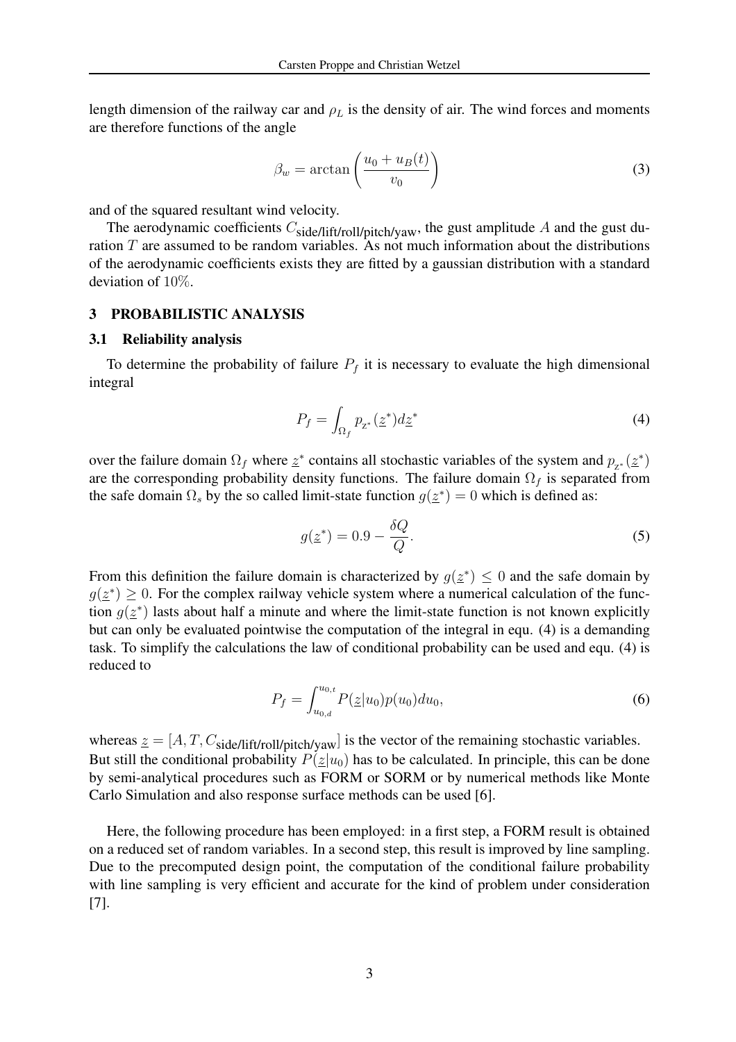length dimension of the railway car and  $\rho_L$  is the density of air. The wind forces and moments are therefore functions of the angle

$$
\beta_w = \arctan\left(\frac{u_0 + u_B(t)}{v_0}\right) \tag{3}
$$

and of the squared resultant wind velocity.

The aerodynamic coefficients  $C_{\text{side}/\text{lift/roll/pitch/yaw}}$ , the gust amplitude A and the gust duration  $T$  are assumed to be random variables. As not much information about the distributions of the aerodynamic coefficients exists they are fitted by a gaussian distribution with a standard deviation of 10%.

#### 3 PROBABILISTIC ANALYSIS

#### 3.1 Reliability analysis

To determine the probability of failure  $P_f$  it is necessary to evaluate the high dimensional integral

$$
P_f = \int_{\Omega_f} p_{z^*}(z^*) d\overline{z}^* \tag{4}
$$

over the failure domain  $\Omega_f$  where  $z^*$  contains all stochastic variables of the system and  $p_{z^*}(\underline{z}^*)$ are the corresponding probability density functions. The failure domain  $\Omega_f$  is separated from the safe domain  $\Omega_s$  by the so called limit-state function  $g(\underline{z}^*) = 0$  which is defined as:

$$
g(\underline{z}^*) = 0.9 - \frac{\delta Q}{Q}.\tag{5}
$$

From this definition the failure domain is characterized by  $g(\underline{z}^*) \leq 0$  and the safe domain by  $g(\underline{z}^*) \geq 0$ . For the complex railway vehicle system where a numerical calculation of the function  $g(\underline{z}^*)$  lasts about half a minute and where the limit-state function is not known explicitly but can only be evaluated pointwise the computation of the integral in equ. (4) is a demanding task. To simplify the calculations the law of conditional probability can be used and equ. (4) is reduced to

$$
P_f = \int_{u_{0,d}}^{u_{0,t}} P(\underline{z}|u_0) p(u_0) du_0,\tag{6}
$$

whereas  $z = [A, T, C_{side} / \text{lift/roll/pitch/yaw}]$  is the vector of the remaining stochastic variables. But still the conditional probability  $P(z|u_0)$  has to be calculated. In principle, this can be done by semi-analytical procedures such as FORM or SORM or by numerical methods like Monte Carlo Simulation and also response surface methods can be used [6].

Here, the following procedure has been employed: in a first step, a FORM result is obtained on a reduced set of random variables. In a second step, this result is improved by line sampling. Due to the precomputed design point, the computation of the conditional failure probability with line sampling is very efficient and accurate for the kind of problem under consideration [7].